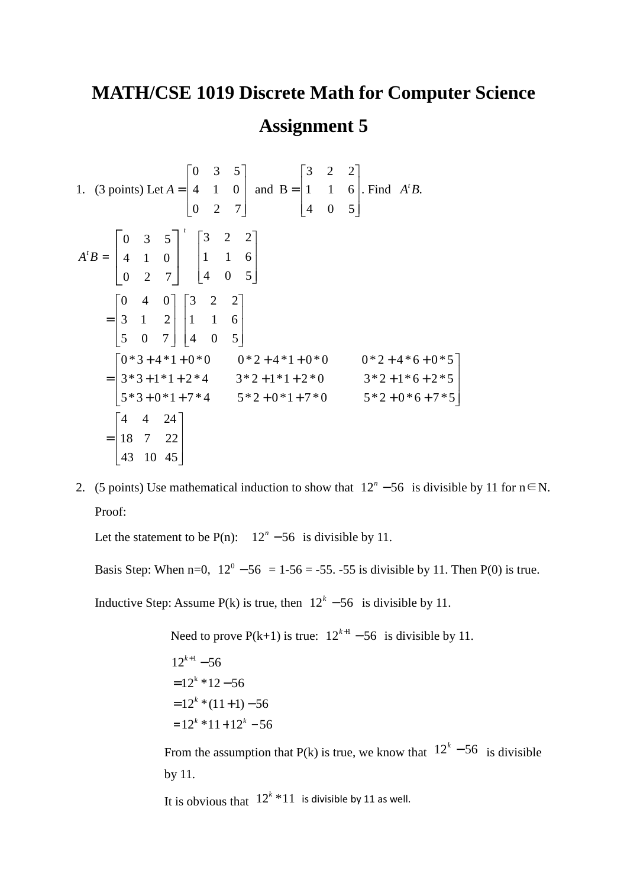## **MATH/CSE 1019 Discrete Math for Computer Science Assignment 5**

1. (3 points) Let  $\overline{\phantom{a}}$  $\overline{\phantom{a}}$  $\overline{\phantom{a}}$  $\rfloor$ 1  $\mathsf{L}$  $\mathbf{r}$  $\mathbf{r}$ L  $\lceil$ =  $\overline{\phantom{a}}$  $\overline{\phantom{a}}$  $\overline{\phantom{a}}$  $\rfloor$ 1  $\mathsf{L}$  $\mathbf{r}$  $\mathbf{r}$ L  $\lceil$ = 4 0 5 1 1 6 3 2 2 and B 0 2 7 4 1 0 0 3 5  $A = \begin{pmatrix} 4 & 1 & 0 \end{pmatrix}$  and  $B = \begin{pmatrix} 1 & 1 & 6 \end{pmatrix}$ . Find  $A<sup>t</sup>B$ .  $A^t B =$  $\overline{\phantom{a}}$  $\overline{\phantom{a}}$  $\overline{\phantom{a}}$  $\rfloor$ 1 L  $\mathbf{r}$  $\mathsf{L}$ L Γ  $\overline{\phantom{a}}$  $\rfloor$  $\exists$  $\overline{\phantom{a}}$ L  $\lceil$ 4 0 5 1 1 6 3 2 2 0 2 7 4 1 0  $0 \quad 3 \quad 5 \rceil$  $\begin{bmatrix} 43 & 10 & 45 \end{bmatrix}$  $\overline{\phantom{a}}$  $\overline{\phantom{a}}$ 1  $\mathbf{r}$  $\mathbf{r}$  $\lceil$  $=$  18 7 22  $\begin{bmatrix} 5*3+0*1+7*4 & 5*2+0*1+7*0 & 5*2+0*6+7*5 \end{bmatrix}$  $\begin{bmatrix} 0 & * & 3 & + & 4 & * & 1 & + & 0 & * & 0 \\ 0 & * & 3 & + & 4 & * & 1 & + & 0 & * & 0 \\ 0 & * & 2 & + & 4 & * & 1 & + & 0 & * & 0 \\ 0 & * & 3 & + & 4 & * & 1 & + & 0 & * & 0 \\ 0 & * & 2 & + & 4 & * & 6 & + & 0 & * & 5 \end{bmatrix}$  $\mathbf{r}$  $\mathbf{r}$  $\begin{bmatrix} 5*3+0*1+7*4 & 5*2+0*1+7*0 & 5*2+0*6+ \end{bmatrix}$  $= 3*3+1*1+2*4$   $3*2+1*1+2*0$   $3*2+1*6+$  $\overline{\phantom{a}}$  $\overline{\phantom{a}}$  $\overline{\phantom{a}}$  $\rfloor$ 1  $\mathsf{L}$  $\mathbf{r}$  $\mathbf{r}$ L  $\lceil$  $\overline{\phantom{a}}$  $\overline{\phantom{a}}$  $\overline{\phantom{a}}$  $\rfloor$ 1  $\mathsf{L}$  $\mathbf{r}$  $\mathbf{r}$ L  $\lceil$ = 4 4 24  $5*3+0*1+7*4$   $5*2+0*1+7*0$   $5*2+0*6+7*5$  $3*3+1*1+2*4$   $3*2+1*1+2*0$   $3*2+1*6+2*5$ 4 0 5 1 1 6 3 2 2 5 0 7 3 1 2 0 4 0

2. (5 points) Use mathematical induction to show that  $12^n - 56$  is divisible by 11 for n∈N. Proof:

 $\overline{\phantom{a}}$  $\overline{\phantom{a}}$  $\overline{\phantom{a}}$ 

Let the statement to be  $P(n)$ :  $12^n - 56$  is divisible by 11.

Basis Step: When n=0,  $12^0 - 56 = 1.56 = -55$ . -55 is divisible by 11. Then P(0) is true.

Inductive Step: Assume P(k) is true, then  $12<sup>k</sup> - 56$  is divisible by 11.

Need to prove  $P(k+1)$  is true:  $12^{k+1} - 56$  is divisible by 11.  $= 12^{k}$  \*  $11 + 12^{k}$  – 56  $= 12^{k} * (11+1) - 56$  $= 12^k * 12 - 56$  $12^{k+1} - 56$ 

From the assumption that P(k) is true, we know that  $12<sup>k</sup> - 56$  is divisible by 11.

It is obvious that  $12^k * 11$  *is divisible by* 11 as well.